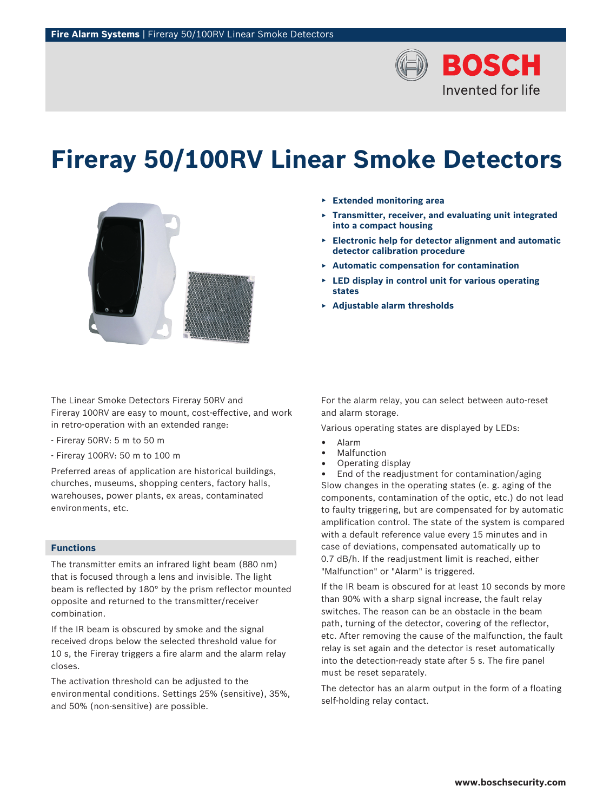

# **Fireray 50/100RV Linear Smoke Detectors**



The Linear Smoke Detectors Fireray 50RV and Fireray 100RV are easy to mount, cost-effective, and work in retro-operation with an extended range:

- Fireray 50RV: 5 m to 50 m
- Fireray 100RV: 50 m to 100 m

Preferred areas of application are historical buildings, churches, museums, shopping centers, factory halls, warehouses, power plants, ex areas, contaminated environments, etc.

# **Functions**

The transmitter emits an infrared light beam (880 nm) that is focused through a lens and invisible. The light beam is reflected by 180° by the prism reflector mounted opposite and returned to the transmitter/receiver combination.

If the IR beam is obscured by smoke and the signal received drops below the selected threshold value for 10 s, the Fireray triggers a fire alarm and the alarm relay closes.

The activation threshold can be adjusted to the environmental conditions. Settings 25% (sensitive), 35%, and 50% (non-sensitive) are possible.

- ▶ **Extended monitoring area**
- ▶ **Transmitter, receiver, and evaluating unit integrated into a compact housing**
- ▶ **Electronic help for detector alignment and automatic detector calibration procedure**
- ▶ **Automatic compensation for contamination**
- **LED display in control unit for various operating states**
- ▶ **Adjustable alarm thresholds**

For the alarm relay, you can select between auto-reset and alarm storage.

Various operating states are displayed by LEDs:

- Alarm
- Malfunction
- Operating display

• End of the readjustment for contamination/aging Slow changes in the operating states (e. g. aging of the components, contamination of the optic, etc.) do not lead to faulty triggering, but are compensated for by automatic amplification control. The state of the system is compared with a default reference value every 15 minutes and in case of deviations, compensated automatically up to 0.7 dB/h. If the readjustment limit is reached, either "Malfunction" or "Alarm" is triggered.

If the IR beam is obscured for at least 10 seconds by more than 90% with a sharp signal increase, the fault relay switches. The reason can be an obstacle in the beam path, turning of the detector, covering of the reflector, etc. After removing the cause of the malfunction, the fault relay is set again and the detector is reset automatically into the detection-ready state after 5 s. The fire panel must be reset separately.

The detector has an alarm output in the form of a floating self-holding relay contact.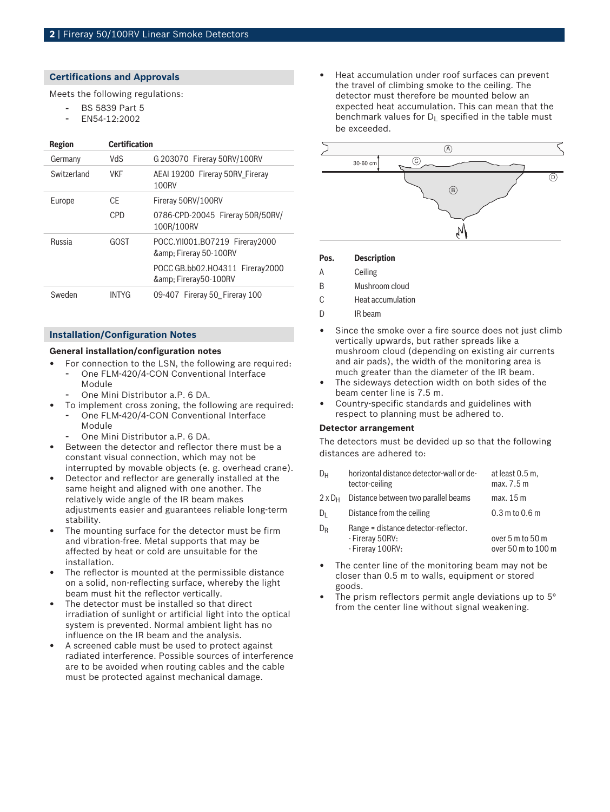## **Certifications and Approvals**

Meets the following regulations:

- BS 5839 Part 5
- EN54-12:2002

## **Region Certification**

| Germany       | VdS          | G 203070 Fireray 50RV/100RV                          |
|---------------|--------------|------------------------------------------------------|
| Switzerland   | <b>VKF</b>   | AEAI 19200 Fireray 50RV Fireray<br>100RV             |
| Europe        | CF           | Fireray 50RV/100RV                                   |
|               | CPD          | 0786-CPD-20045 Fireray 50R/50RV/<br>100R/100RV       |
| <b>Russia</b> | GOST         | POCC.YII001.BO7219 Fireray2000<br>& Fireray 50-100RV |
|               |              | POCC GB.bb02.HO4311 Fireray2000<br>& Fireray50-100RV |
| Sweden        | <b>INTYG</b> | 09-407 Fireray 50 Fireray 100                        |

# **Installation/Configuration Notes**

## **General installation/configuration notes**

- For connection to the LSN, the following are required: One FLM-420/4-CON Conventional Interface Module
	- One Mini Distributor a.P. 6 DA.
- To implement cross zoning, the following are required: One FLM-420/4-CON Conventional Interface
	- Module
	- One Mini Distributor a.P. 6 DA.
- Between the detector and reflector there must be a constant visual connection, which may not be interrupted by movable objects (e. g. overhead crane).
- Detector and reflector are generally installed at the same height and aligned with one another. The relatively wide angle of the IR beam makes adjustments easier and guarantees reliable long-term stability.
- The mounting surface for the detector must be firm and vibration-free. Metal supports that may be affected by heat or cold are unsuitable for the installation.
- The reflector is mounted at the permissible distance on a solid, non-reflecting surface, whereby the light beam must hit the reflector vertically.
- The detector must be installed so that direct irradiation of sunlight or artificial light into the optical system is prevented. Normal ambient light has no influence on the IR beam and the analysis.
- A screened cable must be used to protect against radiated interference. Possible sources of interference are to be avoided when routing cables and the cable must be protected against mechanical damage.

Heat accumulation under roof surfaces can prevent the travel of climbing smoke to the ceiling. The detector must therefore be mounted below an expected heat accumulation. This can mean that the benchmark values for  $D_1$  specified in the table must be exceeded.



## **Pos. Description**

- A Ceiling
- B Mushroom cloud
- C Heat accumulation
- D **IR** beam
- Since the smoke over a fire source does not just climb vertically upwards, but rather spreads like a mushroom cloud (depending on existing air currents and air pads), the width of the monitoring area is much greater than the diameter of the IR beam.
- The sideways detection width on both sides of the beam center line is 7.5 m.
- Country-specific standards and guidelines with respect to planning must be adhered to.

## **Detector arrangement**

The detectors must be devided up so that the following distances are adhered to:

- $D_H$  horizontal distance detector-wall or detector-ceiling at least 0.5 m, max. 7.5 m
- $2 \times D_H$  Distance between two parallel beams max. 15 m
- $D_L$  Distance from the ceiling 0.3 m to 0.6 m  $D_R$  Range = distance detector-reflector.
- Fireray 50RV: - Fireray 100RV: over 5 m to 50 m over 50 m to 100 m
- The center line of the monitoring beam may not be closer than 0.5 m to walls, equipment or stored goods.
- The prism reflectors permit angle deviations up to 5° from the center line without signal weakening.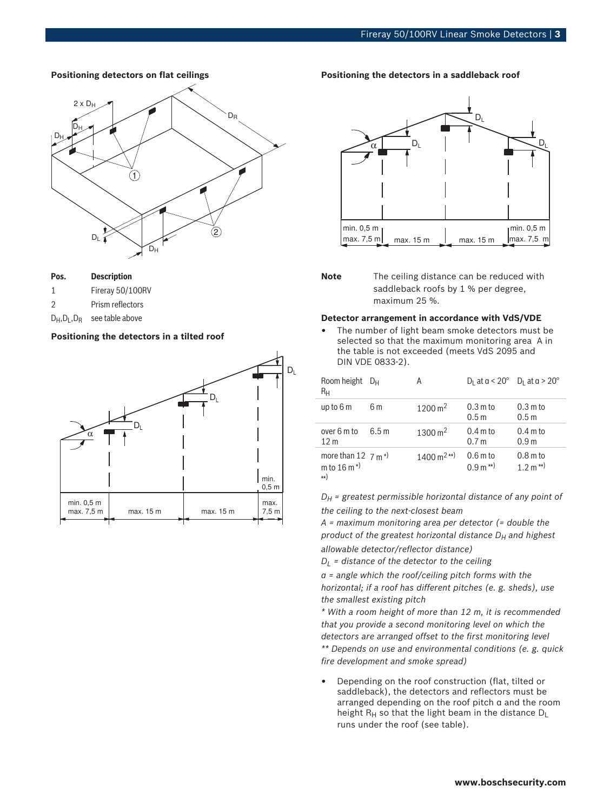## **Positioning detectors on flat ceilings**



| Pos. | <b>Description</b> |  |
|------|--------------------|--|
|------|--------------------|--|

- 1 Fireray 50/100RV
- 2 Prism reflectors
- $D_H$ ,  $D_L$ ,  $D_R$  see table above

## **Positioning the detectors in a tilted roof**



## **Positioning the detectors in a saddleback roof**



**Note** The ceiling distance can be reduced with saddleback roofs by 1 % per degree, maximum 25 %.

## **Detector arrangement in accordance with VdS/VDE**

The number of light beam smoke detectors must be selected so that the maximum monitoring area A in the table is not exceeded (meets VdS 2095 and DIN VDE 0833‑2).

| Room height $D_H$<br>Rн                                            |      | А                                     | $D_1$ at $a < 20^\circ$ $D_1$ at $a > 20^\circ$ |                                        |
|--------------------------------------------------------------------|------|---------------------------------------|-------------------------------------------------|----------------------------------------|
| up to $6m$                                                         | 6 m  | $1200 \,\mathrm{m}^2$                 | $0.3m$ to<br>0.5 <sub>m</sub>                   | $0.3m$ to<br>0.5 <sub>m</sub>          |
| over 6 m to<br>12 <sub>m</sub>                                     | 6.5m | $1300 \,\mathrm{m}^2$                 | $0.4 \text{ m}$ to<br>0.7 <sub>m</sub>          | $0.4 \text{ m}$ to<br>0.9 <sub>m</sub> |
| more than 12 $7 \text{ m}^{*}$<br>m to $16 \text{ m}^*$<br>$^{**}$ |      | $1400 \,\mathrm{m}^{2 \,\mathrm{**}}$ | $0.6m$ to<br>$0.9 \text{ m}^{**}$               | $0.8m$ to<br>$1.2 \text{ m}^{**}$      |

*DH = greatest permissible horizontal distance of any point of the ceiling to the next-closest beam*

*A = maximum monitoring area per detector (= double the product of the greatest horizontal distance DH and highest allowable detector/reflector distance)*

*DL = distance of the detector to the ceiling*

*α = angle which the roof/ceiling pitch forms with the horizontal; if a roof has different pitches (e. g. sheds), use the smallest existing pitch*

*\* With a room height of more than 12 m, it is recommended that you provide a second monitoring level on which the detectors are arranged offset to the first monitoring level \*\* Depends on use and environmental conditions (e. g. quick fire development and smoke spread)*

• Depending on the roof construction (flat, tilted or saddleback), the detectors and reflectors must be arranged depending on the roof pitch α and the room height  $R_H$  so that the light beam in the distance  $D_L$ runs under the roof (see table).